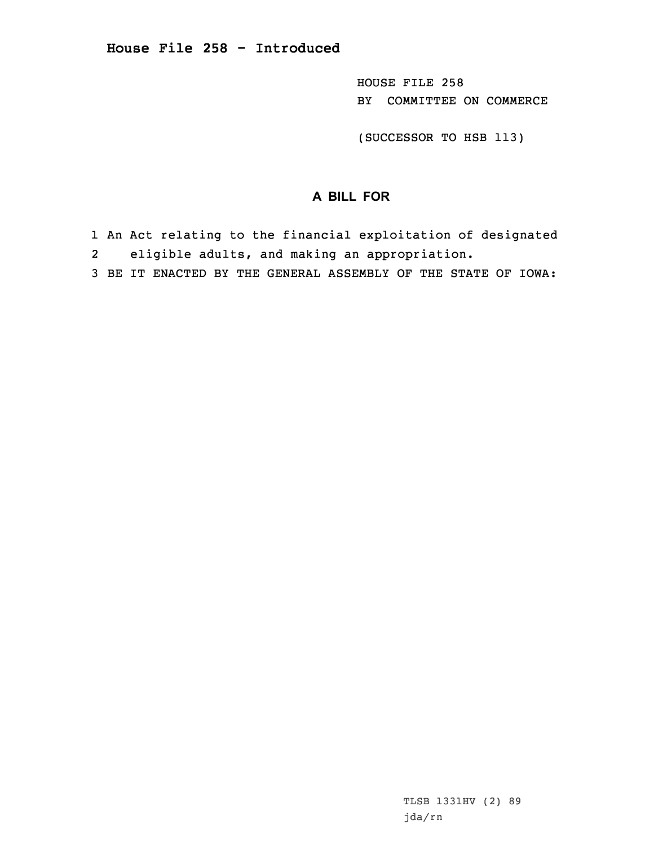HOUSE FILE 258 BY COMMITTEE ON COMMERCE

(SUCCESSOR TO HSB 113)

## **A BILL FOR**

- 1 An Act relating to the financial exploitation of designated 2eligible adults, and making an appropriation.
- 3 BE IT ENACTED BY THE GENERAL ASSEMBLY OF THE STATE OF IOWA: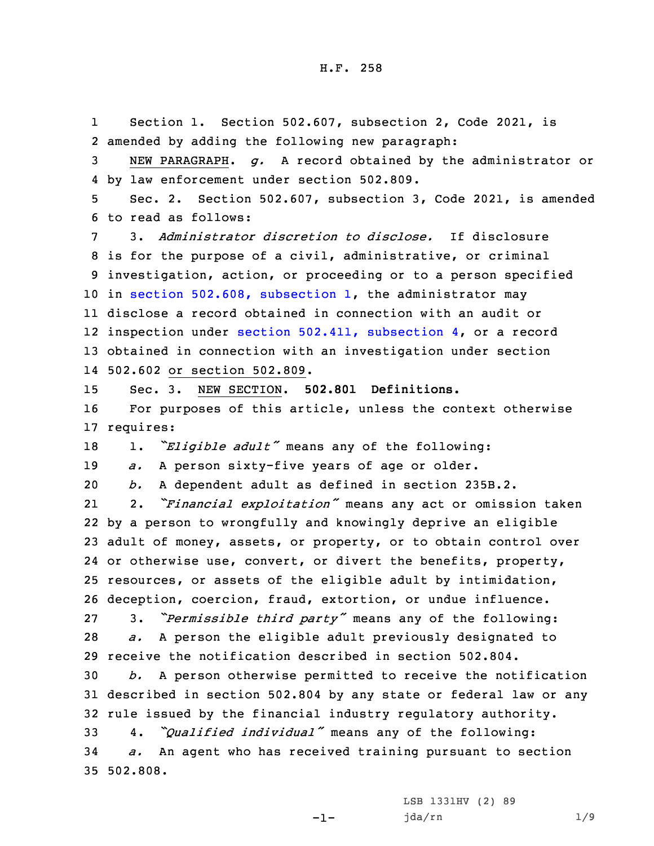1 Section 1. Section 502.607, subsection 2, Code 2021, is amended by adding the following new paragraph: NEW PARAGRAPH. *g.* <sup>A</sup> record obtained by the administrator or by law enforcement under section 502.809. Sec. 2. Section 502.607, subsection 3, Code 2021, is amended to read as follows: 3. *Administrator discretion to disclose.* If disclosure is for the purpose of <sup>a</sup> civil, administrative, or criminal investigation, action, or proceeding or to <sup>a</sup> person specified in section 502.608, [subsection](https://www.legis.iowa.gov/docs/code/2021/502.608.pdf) 1, the administrator may disclose <sup>a</sup> record obtained in connection with an audit or inspection under section 502.411, [subsection](https://www.legis.iowa.gov/docs/code/2021/502.411.pdf) 4, or <sup>a</sup> record obtained in connection with an investigation under section 502.602 or section 502.809. Sec. 3. NEW SECTION. **502.801 Definitions.** For purposes of this article, unless the context otherwise requires: 1. *"Eligible adult"* means any of the following: *a.* <sup>A</sup> person sixty-five years of age or older. *b.* <sup>A</sup> dependent adult as defined in section 235B.2. 21 2. *"Financial exploitation"* means any act or omission taken by <sup>a</sup> person to wrongfully and knowingly deprive an eligible adult of money, assets, or property, or to obtain control over 24 or otherwise use, convert, or divert the benefits, property, resources, or assets of the eligible adult by intimidation, deception, coercion, fraud, extortion, or undue influence. 3. *"Permissible third party"* means any of the following: *a.* <sup>A</sup> person the eligible adult previously designated to receive the notification described in section 502.804. *b.* <sup>A</sup> person otherwise permitted to receive the notification described in section 502.804 by any state or federal law or any rule issued by the financial industry regulatory authority. 4. *"Qualified individual"* means any of the following: *a.* An agent who has received training pursuant to section 35 502.808.

-1-

LSB 1331HV (2) 89 jda/rn 1/9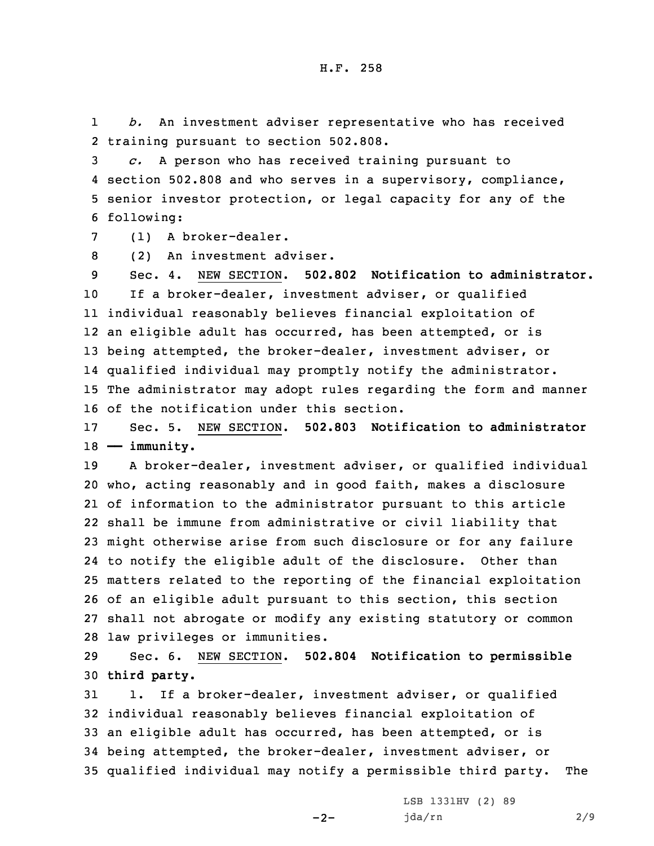1 *b.* An investment adviser representative who has received 2 training pursuant to section 502.808.

 *c.* <sup>A</sup> person who has received training pursuant to section 502.808 and who serves in <sup>a</sup> supervisory, compliance, senior investor protection, or legal capacity for any of the following:

7 (1) A broker-dealer.

8 (2) An investment adviser.

 Sec. 4. NEW SECTION. **502.802 Notification to administrator.** If <sup>a</sup> broker-dealer, investment adviser, or qualified individual reasonably believes financial exploitation of an eligible adult has occurred, has been attempted, or is being attempted, the broker-dealer, investment adviser, or qualified individual may promptly notify the administrator. The administrator may adopt rules regarding the form and manner of the notification under this section.

17 Sec. 5. NEW SECTION. **502.803 Notification to administrator** 18 **—— immunity.**

 <sup>A</sup> broker-dealer, investment adviser, or qualified individual who, acting reasonably and in good faith, makes <sup>a</sup> disclosure of information to the administrator pursuant to this article shall be immune from administrative or civil liability that might otherwise arise from such disclosure or for any failure to notify the eligible adult of the disclosure. Other than matters related to the reporting of the financial exploitation of an eligible adult pursuant to this section, this section shall not abrogate or modify any existing statutory or common law privileges or immunities.

29 Sec. 6. NEW SECTION. **502.804 Notification to permissible** 30 **third party.**

 1. If <sup>a</sup> broker-dealer, investment adviser, or qualified individual reasonably believes financial exploitation of an eligible adult has occurred, has been attempted, or is being attempted, the broker-dealer, investment adviser, or qualified individual may notify <sup>a</sup> permissible third party. The

 $-2-$ 

LSB 1331HV (2) 89 jda/rn 2/9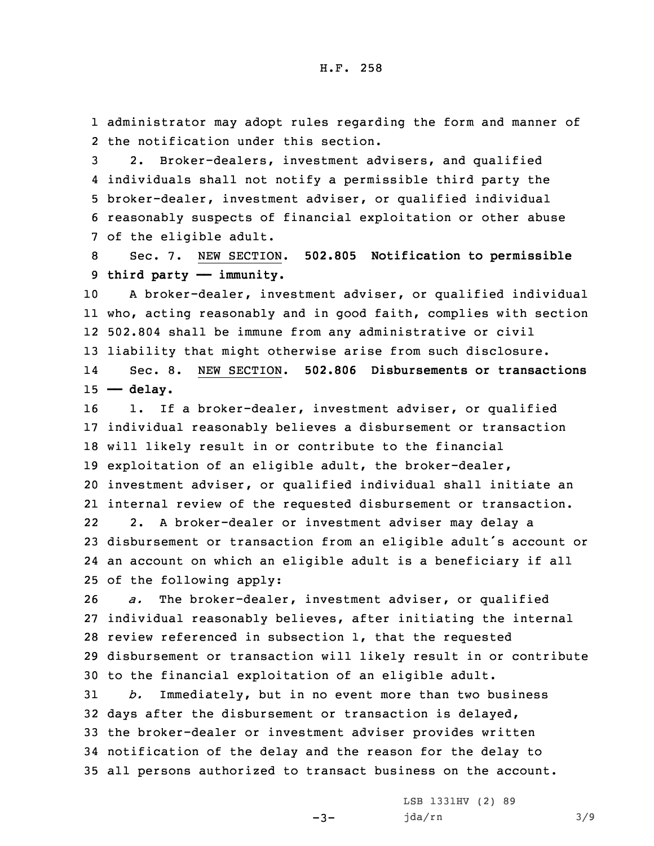1 administrator may adopt rules regarding the form and manner of 2 the notification under this section.

 2. Broker-dealers, investment advisers, and qualified individuals shall not notify <sup>a</sup> permissible third party the broker-dealer, investment adviser, or qualified individual reasonably suspects of financial exploitation or other abuse of the eligible adult.

8 Sec. 7. NEW SECTION. **502.805 Notification to permissible** 9 **third party —— immunity.**

 <sup>A</sup> broker-dealer, investment adviser, or qualified individual who, acting reasonably and in good faith, complies with section 502.804 shall be immune from any administrative or civil liability that might otherwise arise from such disclosure. 14 Sec. 8. NEW SECTION. **502.806 Disbursements or transactions —— delay.**

16 1. If a broker-dealer, investment adviser, or qualified individual reasonably believes <sup>a</sup> disbursement or transaction will likely result in or contribute to the financial exploitation of an eligible adult, the broker-dealer, investment adviser, or qualified individual shall initiate an internal review of the requested disbursement or transaction. 22 2. <sup>A</sup> broker-dealer or investment adviser may delay <sup>a</sup> disbursement or transaction from an eligible adult's account or an account on which an eligible adult is <sup>a</sup> beneficiary if all

25 of the following apply:

 *a.* The broker-dealer, investment adviser, or qualified individual reasonably believes, after initiating the internal review referenced in subsection 1, that the requested disbursement or transaction will likely result in or contribute to the financial exploitation of an eligible adult.

 *b.* Immediately, but in no event more than two business days after the disbursement or transaction is delayed, the broker-dealer or investment adviser provides written notification of the delay and the reason for the delay to all persons authorized to transact business on the account.

 $-3-$ 

LSB 1331HV (2) 89 jda/rn 3/9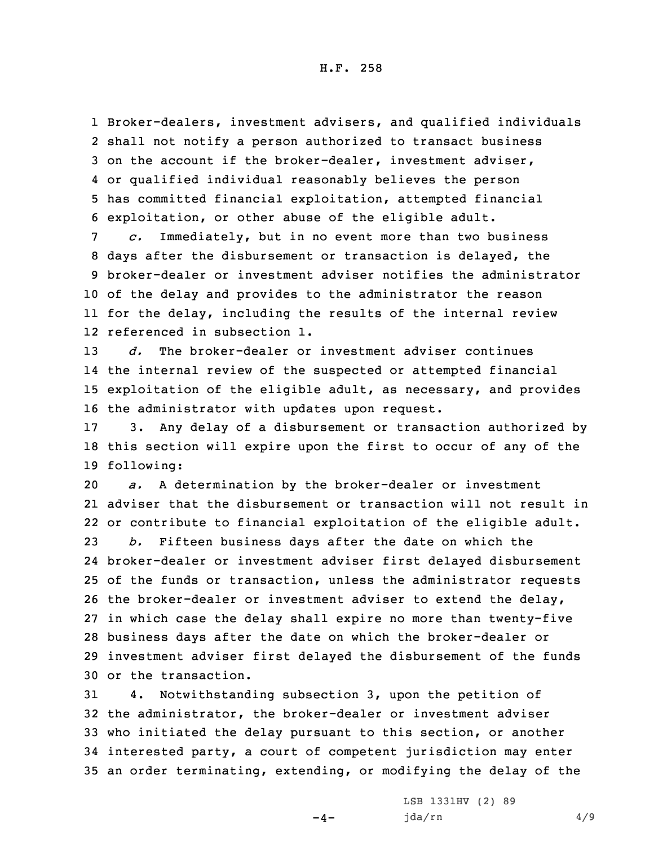Broker-dealers, investment advisers, and qualified individuals shall not notify <sup>a</sup> person authorized to transact business on the account if the broker-dealer, investment adviser, or qualified individual reasonably believes the person has committed financial exploitation, attempted financial exploitation, or other abuse of the eligible adult.

 *c.* Immediately, but in no event more than two business days after the disbursement or transaction is delayed, the broker-dealer or investment adviser notifies the administrator of the delay and provides to the administrator the reason for the delay, including the results of the internal review referenced in subsection 1.

 *d.* The broker-dealer or investment adviser continues the internal review of the suspected or attempted financial exploitation of the eligible adult, as necessary, and provides the administrator with updates upon request.

17 3. Any delay of <sup>a</sup> disbursement or transaction authorized by 18 this section will expire upon the first to occur of any of the 19 following:

 *a.* <sup>A</sup> determination by the broker-dealer or investment adviser that the disbursement or transaction will not result in or contribute to financial exploitation of the eligible adult. *b.* Fifteen business days after the date on which the broker-dealer or investment adviser first delayed disbursement of the funds or transaction, unless the administrator requests the broker-dealer or investment adviser to extend the delay,

 in which case the delay shall expire no more than twenty-five business days after the date on which the broker-dealer or investment adviser first delayed the disbursement of the funds or the transaction.

 4. Notwithstanding subsection 3, upon the petition of the administrator, the broker-dealer or investment adviser who initiated the delay pursuant to this section, or another interested party, <sup>a</sup> court of competent jurisdiction may enter an order terminating, extending, or modifying the delay of the

 $-4-$ 

LSB 1331HV (2) 89 jda/rn 4/9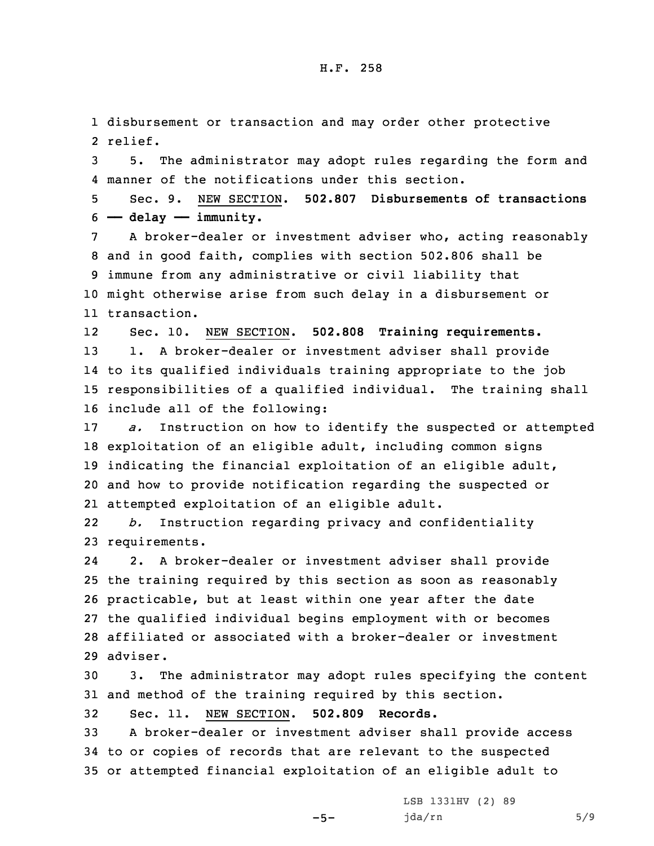1 disbursement or transaction and may order other protective 2 relief.

3 5. The administrator may adopt rules regarding the form and 4 manner of the notifications under this section.

5 Sec. 9. NEW SECTION. **502.807 Disbursements of transactions** 6 **—— delay —— immunity.**

 <sup>A</sup> broker-dealer or investment adviser who, acting reasonably and in good faith, complies with section 502.806 shall be immune from any administrative or civil liability that might otherwise arise from such delay in <sup>a</sup> disbursement or transaction.

12 Sec. 10. NEW SECTION. **502.808 Training requirements.** 1. <sup>A</sup> broker-dealer or investment adviser shall provide to its qualified individuals training appropriate to the job responsibilities of <sup>a</sup> qualified individual. The training shall include all of the following:

 *a.* Instruction on how to identify the suspected or attempted exploitation of an eligible adult, including common signs indicating the financial exploitation of an eligible adult, and how to provide notification regarding the suspected or attempted exploitation of an eligible adult.

22 *b.* Instruction regarding privacy and confidentiality 23 requirements.

24 2. <sup>A</sup> broker-dealer or investment adviser shall provide 25 the training required by this section as soon as reasonably 26 practicable, but at least within one year after the date 27 the qualified individual begins employment with or becomes 28 affiliated or associated with <sup>a</sup> broker-dealer or investment 29 adviser.

30 3. The administrator may adopt rules specifying the content 31 and method of the training required by this section.

32 Sec. 11. NEW SECTION. **502.809 Records.**

33 <sup>A</sup> broker-dealer or investment adviser shall provide access 34 to or copies of records that are relevant to the suspected 35 or attempted financial exploitation of an eligible adult to

 $-5-$ 

LSB 1331HV (2) 89 jda/rn 5/9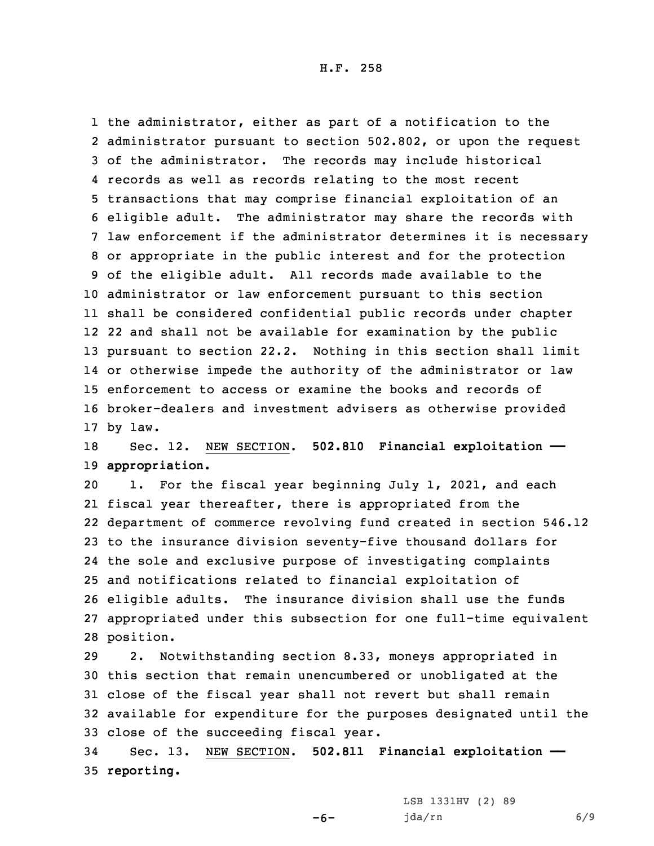the administrator, either as part of <sup>a</sup> notification to the administrator pursuant to section 502.802, or upon the request of the administrator. The records may include historical records as well as records relating to the most recent transactions that may comprise financial exploitation of an eligible adult. The administrator may share the records with law enforcement if the administrator determines it is necessary or appropriate in the public interest and for the protection of the eligible adult. All records made available to the administrator or law enforcement pursuant to this section shall be considered confidential public records under chapter 22 and shall not be available for examination by the public pursuant to section 22.2. Nothing in this section shall limit or otherwise impede the authority of the administrator or law enforcement to access or examine the books and records of broker-dealers and investment advisers as otherwise provided 17 by law.

18 Sec. 12. NEW SECTION. **502.810 Financial exploitation ——** 19 **appropriation.**

 1. For the fiscal year beginning July 1, 2021, and each fiscal year thereafter, there is appropriated from the department of commerce revolving fund created in section 546.12 to the insurance division seventy-five thousand dollars for the sole and exclusive purpose of investigating complaints and notifications related to financial exploitation of eligible adults. The insurance division shall use the funds appropriated under this subsection for one full-time equivalent position.

 2. Notwithstanding section 8.33, moneys appropriated in this section that remain unencumbered or unobligated at the close of the fiscal year shall not revert but shall remain available for expenditure for the purposes designated until the close of the succeeding fiscal year.

34 Sec. 13. NEW SECTION. **502.811 Financial exploitation ——** 35 **reporting.**

 $-6-$ 

LSB 1331HV (2) 89 jda/rn 6/9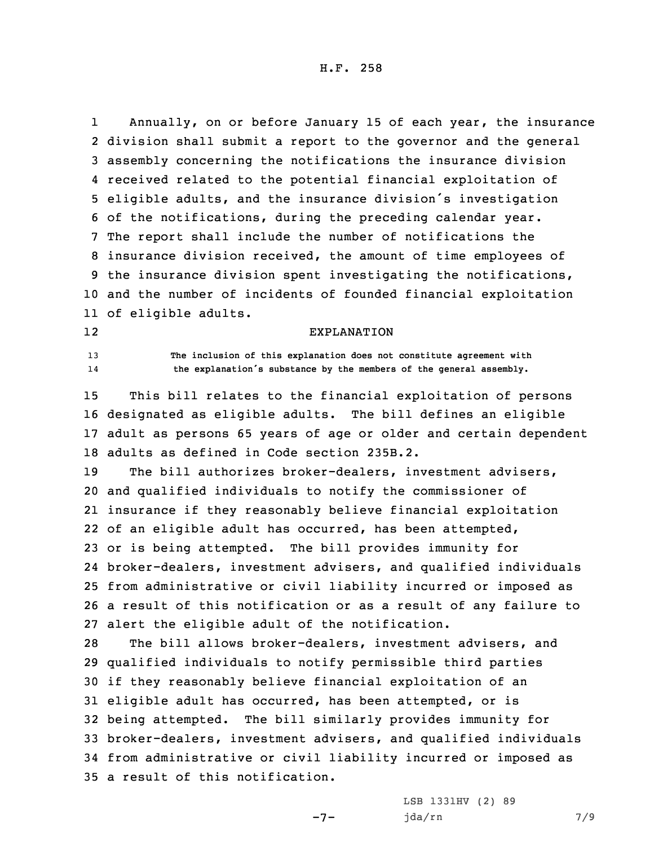1 Annually, on or before January 15 of each year, the insurance division shall submit <sup>a</sup> report to the governor and the general assembly concerning the notifications the insurance division received related to the potential financial exploitation of eligible adults, and the insurance division's investigation of the notifications, during the preceding calendar year. The report shall include the number of notifications the insurance division received, the amount of time employees of the insurance division spent investigating the notifications, and the number of incidents of founded financial exploitation of eligible adults.

## EXPLANATION

13 **The inclusion of this explanation does not constitute agreement with** 14**the explanation's substance by the members of the general assembly.**

12

 This bill relates to the financial exploitation of persons designated as eligible adults. The bill defines an eligible adult as persons 65 years of age or older and certain dependent adults as defined in Code section 235B.2.

 The bill authorizes broker-dealers, investment advisers, and qualified individuals to notify the commissioner of insurance if they reasonably believe financial exploitation of an eligible adult has occurred, has been attempted, or is being attempted. The bill provides immunity for broker-dealers, investment advisers, and qualified individuals from administrative or civil liability incurred or imposed as <sup>a</sup> result of this notification or as <sup>a</sup> result of any failure to alert the eligible adult of the notification.

 The bill allows broker-dealers, investment advisers, and qualified individuals to notify permissible third parties if they reasonably believe financial exploitation of an eligible adult has occurred, has been attempted, or is being attempted. The bill similarly provides immunity for broker-dealers, investment advisers, and qualified individuals from administrative or civil liability incurred or imposed as <sup>a</sup> result of this notification.

 $-7-$ 

LSB 1331HV (2) 89 jda/rn 7/9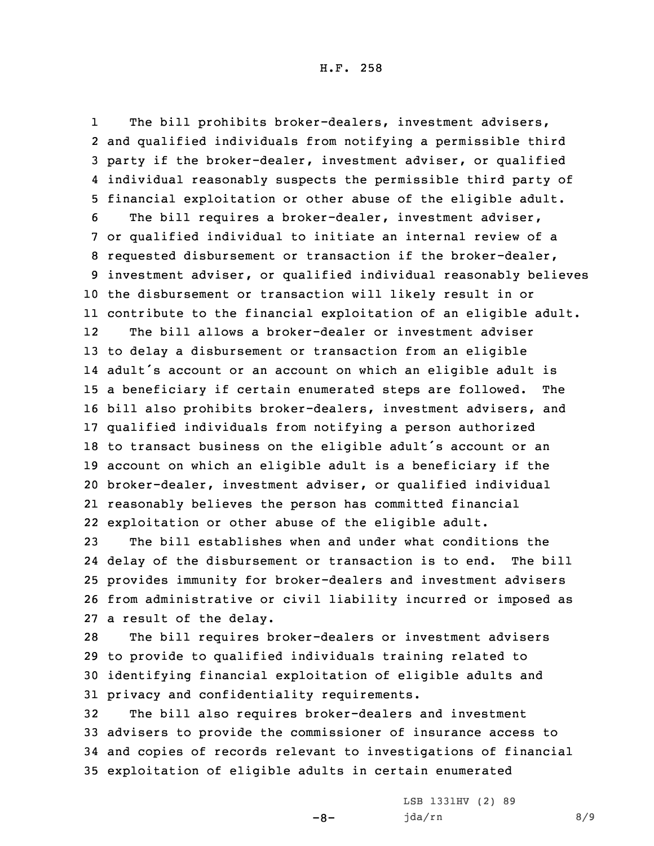1The bill prohibits broker-dealers, investment advisers, and qualified individuals from notifying <sup>a</sup> permissible third party if the broker-dealer, investment adviser, or qualified individual reasonably suspects the permissible third party of financial exploitation or other abuse of the eligible adult. The bill requires <sup>a</sup> broker-dealer, investment adviser, or qualified individual to initiate an internal review of <sup>a</sup> requested disbursement or transaction if the broker-dealer, investment adviser, or qualified individual reasonably believes the disbursement or transaction will likely result in or contribute to the financial exploitation of an eligible adult. 12 The bill allows <sup>a</sup> broker-dealer or investment adviser to delay <sup>a</sup> disbursement or transaction from an eligible adult's account or an account on which an eligible adult is <sup>a</sup> beneficiary if certain enumerated steps are followed. The bill also prohibits broker-dealers, investment advisers, and qualified individuals from notifying <sup>a</sup> person authorized to transact business on the eligible adult's account or an account on which an eligible adult is <sup>a</sup> beneficiary if the broker-dealer, investment adviser, or qualified individual reasonably believes the person has committed financial exploitation or other abuse of the eligible adult.

 The bill establishes when and under what conditions the delay of the disbursement or transaction is to end. The bill provides immunity for broker-dealers and investment advisers from administrative or civil liability incurred or imposed as <sup>a</sup> result of the delay.

 The bill requires broker-dealers or investment advisers to provide to qualified individuals training related to identifying financial exploitation of eligible adults and privacy and confidentiality requirements.

 The bill also requires broker-dealers and investment advisers to provide the commissioner of insurance access to and copies of records relevant to investigations of financial exploitation of eligible adults in certain enumerated

 $-8-$ 

LSB 1331HV (2) 89 jda/rn 8/9